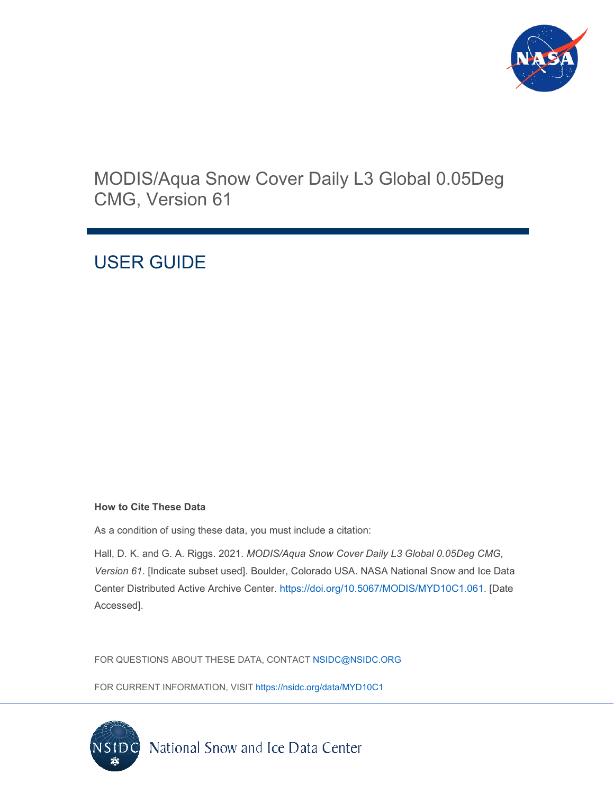

# MODIS/Aqua Snow Cover Daily L3 Global 0.05Deg CMG, Version 61

# USER GUIDE

### **How to Cite These Data**

As a condition of using these data, you must include a citation:

Hall, D. K. and G. A. Riggs. 2021. *MODIS/Aqua Snow Cover Daily L3 Global 0.05Deg CMG, Version 61*. [Indicate subset used]. Boulder, Colorado USA. NASA National Snow and Ice Data Center Distributed Active Archive Center. [https://doi.org/10.5067/MODIS/MYD10C1.061.](https://doi.org/10.5067/MODIS/MYD10C1.061) [Date Accessed].

FOR QUESTIONS ABOUT THESE DATA, CONTACT [NSIDC@NSIDC.ORG](mailto:nsidc@nsidc.org)

FOR CURRENT INFORMATION, VISIT<https://nsidc.org/data/MYD10C1>

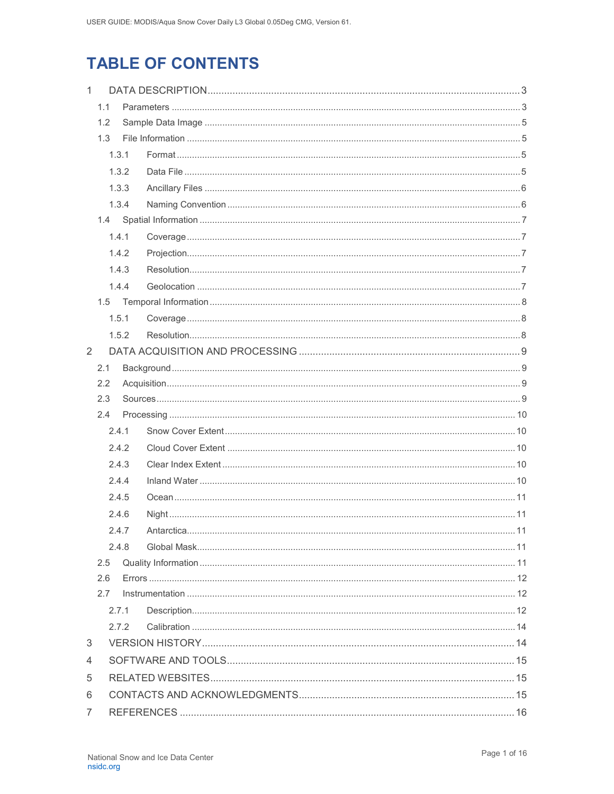# **TABLE OF CONTENTS**

| $\mathbf{1}$ |       |       |  |  |
|--------------|-------|-------|--|--|
|              | 1.1   |       |  |  |
|              | 1.2   |       |  |  |
|              | 1.3   |       |  |  |
|              |       | 1.3.1 |  |  |
|              |       | 1.3.2 |  |  |
|              |       | 1.3.3 |  |  |
|              | 1.3.4 |       |  |  |
|              | 1.4   |       |  |  |
|              |       | 1.4.1 |  |  |
|              |       | 1.4.2 |  |  |
|              |       | 1.4.3 |  |  |
|              |       | 1.4.4 |  |  |
|              |       |       |  |  |
|              |       | 1.5.1 |  |  |
|              |       | 1.5.2 |  |  |
| 2            |       |       |  |  |
|              | 2.1   |       |  |  |
|              | 2.2   |       |  |  |
|              | 2.3   |       |  |  |
|              | 2.4   |       |  |  |
|              |       | 2.4.1 |  |  |
|              |       | 2.4.2 |  |  |
|              |       | 2.4.3 |  |  |
|              |       | 2.4.4 |  |  |
|              |       | 2.4.5 |  |  |
|              |       | 2.4.6 |  |  |
|              |       | 2.4.7 |  |  |
|              |       | 2.4.8 |  |  |
|              | 2.5   |       |  |  |
| 2.6          |       |       |  |  |
|              | 2.7   |       |  |  |
|              |       | 2.7.1 |  |  |
|              |       | 2.7.2 |  |  |
| 3            |       |       |  |  |
| 4            |       |       |  |  |
| 5            |       |       |  |  |
| 6            |       |       |  |  |
| 7            |       |       |  |  |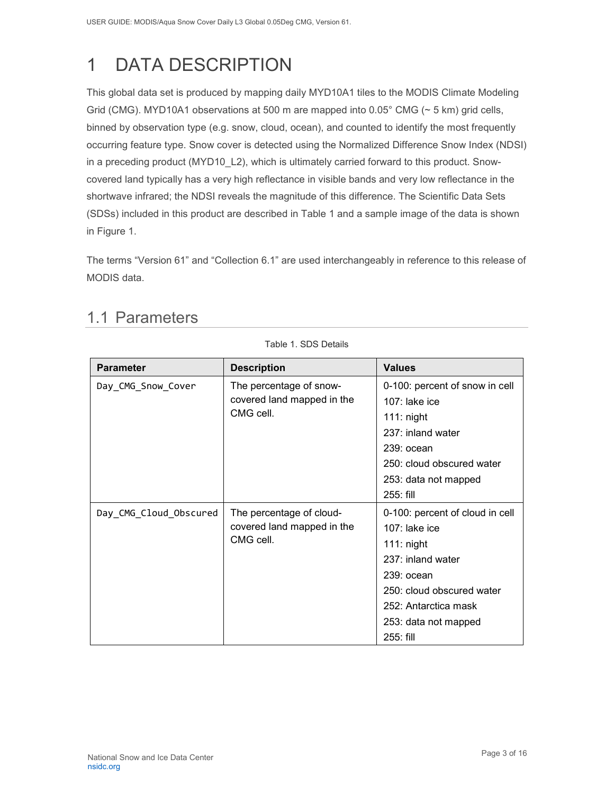# <span id="page-3-0"></span>1 DATA DESCRIPTION

This global data set is produced by mapping daily MYD10A1 tiles to the MODIS Climate Modeling Grid (CMG). MYD10A1 observations at 500 m are mapped into 0.05° CMG (~ 5 km) grid cells, binned by observation type (e.g. snow, cloud, ocean), and counted to identify the most frequently occurring feature type. Snow cover is detected using the Normalized Difference Snow Index (NDSI) in a preceding product (MYD10\_L2), which is ultimately carried forward to this product. Snowcovered land typically has a very high reflectance in visible bands and very low reflectance in the shortwave infrared; the NDSI reveals the magnitude of this difference. The Scientific Data Sets (SDSs) included in this product are described in Table 1 and a sample image of the data is shown in Figure 1.

<span id="page-3-1"></span>The terms "Version 61" and "Collection 6.1" are used interchangeably in reference to this release of MODIS data.

Table 1. SDS Details

| <b>Parameter</b>       | <b>Description</b>                                                  | <b>Values</b>                                                                                                                                                                                      |
|------------------------|---------------------------------------------------------------------|----------------------------------------------------------------------------------------------------------------------------------------------------------------------------------------------------|
| Day_CMG_Snow_Cover     | The percentage of snow-<br>covered land mapped in the<br>CMG cell.  | 0-100: percent of snow in cell<br>$107$ : lake ice<br>$111:$ night<br>237: inland water<br>239: ocean<br>250: cloud obscured water<br>253: data not mapped<br>255: fill                            |
| Day_CMG_Cloud_Obscured | The percentage of cloud-<br>covered land mapped in the<br>CMG cell. | 0-100: percent of cloud in cell<br>$107$ : lake ice<br>$111:$ night<br>237: inland water<br>$239:$ ocean<br>250: cloud obscured water<br>252: Antarctica mask<br>253: data not mapped<br>255: fill |

## 1.1 Parameters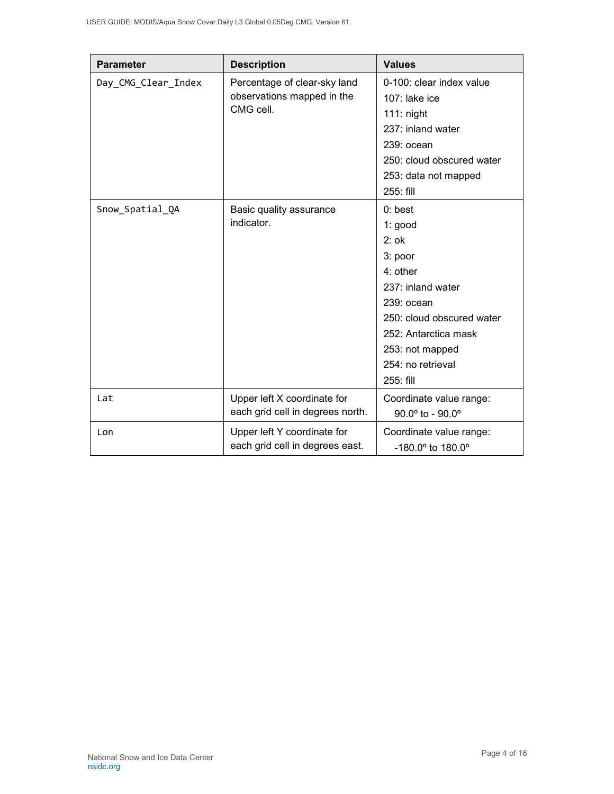| <b>Parameter</b>    | <b>Description</b>                                                      | <b>Values</b>                       |
|---------------------|-------------------------------------------------------------------------|-------------------------------------|
| Day_CMG_Clear_Index | Percentage of clear-sky land<br>observations mapped in the<br>CMG cell. | 0-100: clear index value            |
|                     |                                                                         | 107: lake ice                       |
|                     |                                                                         | $111:$ night                        |
|                     |                                                                         | 237: inland water                   |
|                     |                                                                         | $239:$ ocean                        |
|                     |                                                                         | 250: cloud obscured water           |
|                     |                                                                         | 253: data not mapped                |
|                     |                                                                         | 255: fill                           |
| Snow_Spatial_QA     | Basic quality assurance<br>indicator.                                   | $0:$ best                           |
|                     |                                                                         | 1: good                             |
|                     |                                                                         | $2:$ ok                             |
|                     |                                                                         | 3: poor                             |
|                     |                                                                         | 4: other                            |
|                     |                                                                         | 237: inland water                   |
|                     |                                                                         | 239: ocean                          |
|                     |                                                                         | 250: cloud obscured water           |
|                     |                                                                         | 252: Antarctica mask                |
|                     |                                                                         | 253: not mapped                     |
|                     |                                                                         | 254: no retrieval                   |
|                     |                                                                         | 255: fill                           |
| Lat                 | Upper left X coordinate for                                             | Coordinate value range:             |
|                     | each grid cell in degrees north.                                        | $90.0^{\circ}$ to - $90.0^{\circ}$  |
| Lon                 | Upper left Y coordinate for                                             | Coordinate value range:             |
|                     | each grid cell in degrees east.                                         | $-180.0^{\circ}$ to $180.0^{\circ}$ |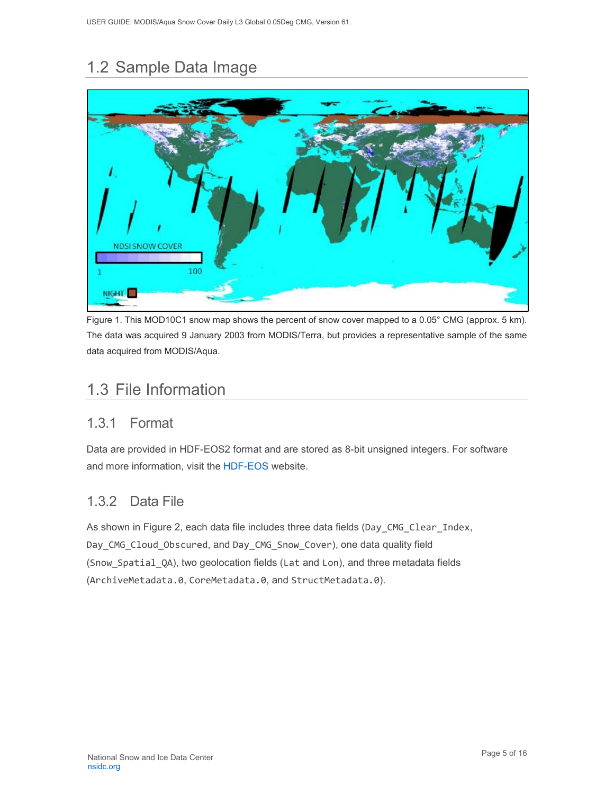# <span id="page-5-0"></span>1.2 Sample Data Image



Figure 1. This MOD10C1 snow map shows the percent of snow cover mapped to a 0.05° CMG (approx. 5 km). The data was acquired 9 January 2003 from MODIS/Terra, but provides a representative sample of the same data acquired from MODIS/Aqua.

## <span id="page-5-1"></span>1.3 File Information

### <span id="page-5-2"></span>1.3.1 Format

Data are provided in HDF-EOS2 format and are stored as 8-bit unsigned integers. For software and more information, visit the [HDF-EOS](https://portal.hdfgroup.org/display/support) website.

## <span id="page-5-3"></span>1.3.2 Data File

As shown in Figure 2, each data file includes three data fields (Day\_CMG\_Clear\_Index, Day CMG Cloud Obscured, and Day CMG Snow Cover), one data quality field (Snow\_Spatial\_QA), two geolocation fields (Lat and Lon), and three metadata fields (ArchiveMetadata.0, CoreMetadata.0, and StructMetadata.0).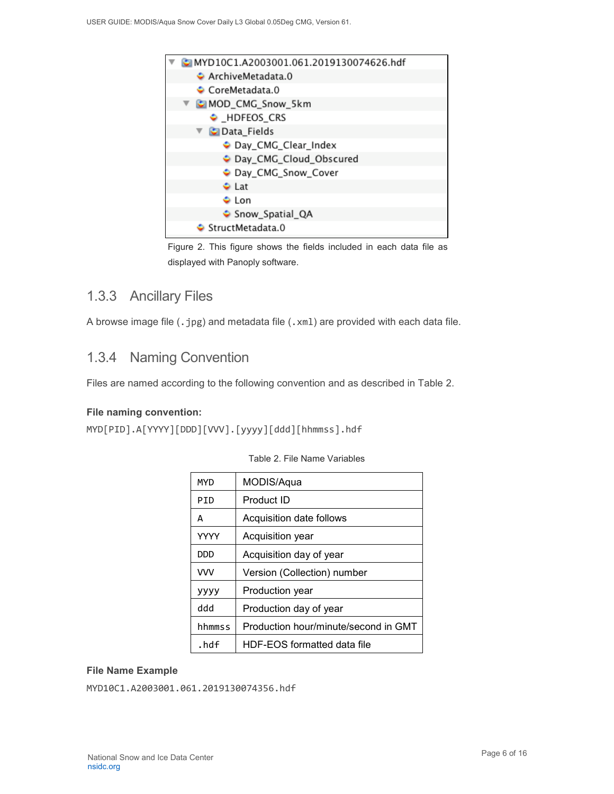

Figure 2. This figure shows the fields included in each data file as displayed with Panoply software.

### <span id="page-6-0"></span>1.3.3 Ancillary Files

A browse image file (.jpg) and metadata file (.xml) are provided with each data file.

### <span id="page-6-1"></span>1.3.4 Naming Convention

Files are named according to the following convention and as described in Table 2.

#### **File naming convention:**

MYD[PID].A[YYYY][DDD][VVV].[yyyy][ddd][hhmmss].hdf

| MYD         | MODIS/Aqua                           |
|-------------|--------------------------------------|
| PID         | Product ID                           |
| A           | Acquisition date follows             |
| <b>YYYY</b> | Acquisition year                     |
| סמם         | Acquisition day of year              |
| <b>VVV</b>  | Version (Collection) number          |
| уууу        | Production year                      |
| ddd         | Production day of year               |
| hhmmss      | Production hour/minute/second in GMT |
| .hdf        | HDF-EOS formatted data file          |

#### Table 2. File Name Variables

#### **File Name Example**

MYD10C1.A2003001.061.2019130074356.hdf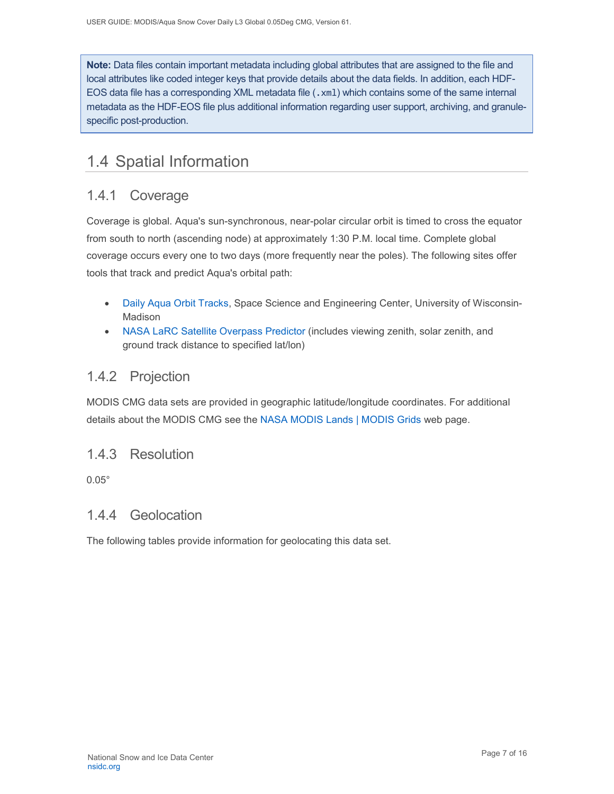**Note:** Data files contain important metadata including global attributes that are assigned to the file and local attributes like coded integer keys that provide details about the data fields. In addition, each HDF-EOS data file has a corresponding XML metadata file (.xm1) which contains some of the same internal metadata as the HDF-EOS file plus additional information regarding user support, archiving, and granulespecific post-production.

## <span id="page-7-0"></span>1.4 Spatial Information

### <span id="page-7-1"></span>1.4.1 Coverage

Coverage is global. Aqua's sun-synchronous, near-polar circular orbit is timed to cross the equator from south to north (ascending node) at approximately 1:30 P.M. local time. Complete global coverage occurs every one to two days (more frequently near the poles). The following sites offer tools that track and predict Aqua's orbital path:

- Daily Aqua [Orbit Tracks,](http://www.ssec.wisc.edu/datacenter/aqua/GLOBAL.html) Space Science and Engineering Center, University of Wisconsin-Madison
- [NASA LaRC Satellite Overpass Predictor](https://cloudsway2.larc.nasa.gov/cgi-bin/predict/predict.cgi?_ga=2.153697019.217361022.1606924565-1178120269.1525111477) (includes viewing zenith, solar zenith, and ground track distance to specified lat/lon)

### <span id="page-7-2"></span>1.4.2 Projection

MODIS CMG data sets are provided in geographic latitude/longitude coordinates. For additional details about the MODIS CMG see the [NASA MODIS Lands | MODIS Grids](https://modis-land.gsfc.nasa.gov/MODLAND_grid.html) web page.

### <span id="page-7-3"></span>1.4.3 Resolution

0.05°

### <span id="page-7-4"></span>1.4.4 Geolocation

The following tables provide information for geolocating this data set.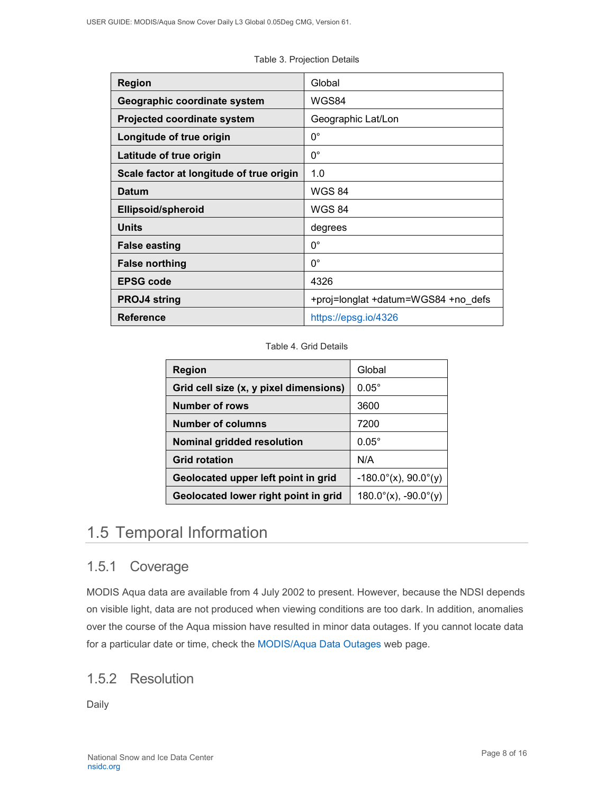| <b>Region</b>                            | Global                              |
|------------------------------------------|-------------------------------------|
| Geographic coordinate system             | WGS84                               |
| <b>Projected coordinate system</b>       | Geographic Lat/Lon                  |
| Longitude of true origin                 | $0^{\circ}$                         |
| Latitude of true origin                  | $0^{\circ}$                         |
| Scale factor at longitude of true origin | 1.0                                 |
| <b>Datum</b>                             | <b>WGS 84</b>                       |
| Ellipsoid/spheroid                       | <b>WGS 84</b>                       |
| <b>Units</b>                             | degrees                             |
| <b>False easting</b>                     | $0^{\circ}$                         |
| <b>False northing</b>                    | $0^{\circ}$                         |
| <b>EPSG code</b>                         | 4326                                |
| <b>PROJ4 string</b>                      | +proj=longlat +datum=WGS84 +no defs |
| <b>Reference</b>                         | https://epsg.io/4326                |

Table 3. Projection Details

#### Table 4. Grid Details

| <b>Region</b>                          | Global                         |
|----------------------------------------|--------------------------------|
| Grid cell size (x, y pixel dimensions) | $0.05^\circ$                   |
| <b>Number of rows</b>                  | 3600                           |
| <b>Number of columns</b>               | 7200                           |
| Nominal gridded resolution             | $0.05^\circ$                   |
| <b>Grid rotation</b>                   | N/A                            |
| Geolocated upper left point in grid    | $-180.0^{\circ}$ (x), 90.0°(y) |
| Geolocated lower right point in grid   | $180.0^{\circ}$ (x), -90.0°(y) |

## <span id="page-8-0"></span>1.5 Temporal Information

### <span id="page-8-1"></span>1.5.1 Coverage

MODIS Aqua data are available from 4 July 2002 to present. However, because the NDSI depends on visible light, data are not produced when viewing conditions are too dark. In addition, anomalies over the course of the Aqua mission have resulted in minor data outages. If you cannot locate data for a particular date or time, check the MODIS/Aqua [Data Outages](https://modaps.modaps.eosdis.nasa.gov/services/production/outages_aqua.html) web page.

### <span id="page-8-2"></span>1.5.2 Resolution

Daily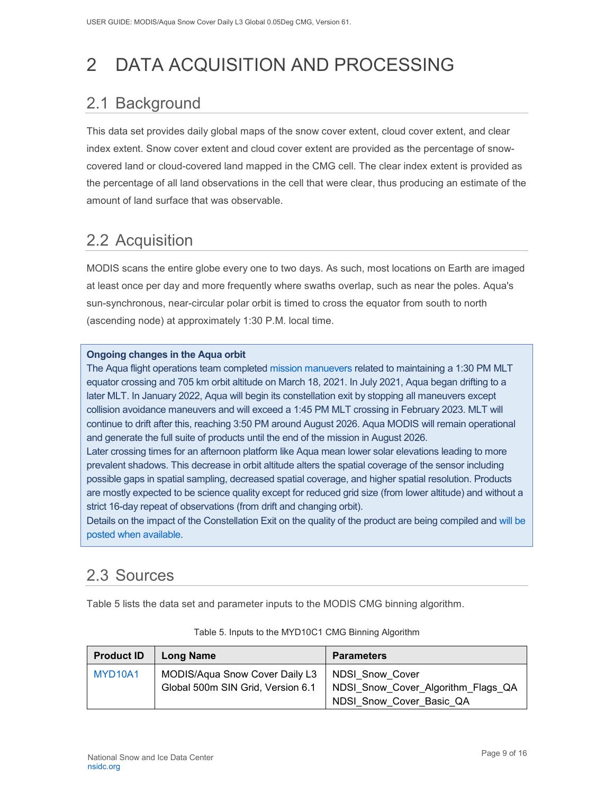# <span id="page-9-0"></span>2 DATA ACQUISITION AND PROCESSING

# <span id="page-9-1"></span>2.1 Background

This data set provides daily global maps of the snow cover extent, cloud cover extent, and clear index extent. Snow cover extent and cloud cover extent are provided as the percentage of snowcovered land or cloud-covered land mapped in the CMG cell. The clear index extent is provided as the percentage of all land observations in the cell that were clear, thus producing an estimate of the amount of land surface that was observable.

## <span id="page-9-2"></span>2.2 Acquisition

MODIS scans the entire globe every one to two days. As such, most locations on Earth are imaged at least once per day and more frequently where swaths overlap, such as near the poles. Aqua's sun-synchronous, near-circular polar orbit is timed to cross the equator from south to north (ascending node) at approximately 1:30 P.M. local time.

#### **Ongoing changes in the Aqua orbit**

The Aqua flight operations team completed [mission manuevers](https://modis.gsfc.nasa.gov/news/individual.php?news_id=100389) related to maintaining a 1:30 PM MLT equator crossing and 705 km orbit altitude on March 18, 2021. In July 2021, Aqua began drifting to a later MLT. In January 2022, Aqua will begin its constellation exit by stopping all maneuvers except collision avoidance maneuvers and will exceed a 1:45 PM MLT crossing in February 2023. MLT will continue to drift after this, reaching 3:50 PM around August 2026. Aqua MODIS will remain operational and generate the full suite of products until the end of the mission in August 2026.

Later crossing times for an afternoon platform like Aqua mean lower solar elevations leading to more prevalent shadows. This decrease in orbit altitude alters the spatial coverage of the sensor including possible gaps in spatial sampling, decreased spatial coverage, and higher spatial resolution. Products are mostly expected to be science quality except for reduced grid size (from lower altitude) and without a strict 16-day repeat of observations (from drift and changing orbit).

Details on the impact of the Constellation Exit on the quality of the product are being compiled and [will be](https://landweb.modaps.eosdis.nasa.gov/cgi-bin/QS/new/index.cgi)  [posted when available.](https://landweb.modaps.eosdis.nasa.gov/cgi-bin/QS/new/index.cgi)

## <span id="page-9-3"></span>2.3 Sources

Table 5 lists the data set and parameter inputs to the MODIS CMG binning algorithm.

| <b>Product ID</b>                | Long Name                                        | <b>Parameters</b>                                                      |
|----------------------------------|--------------------------------------------------|------------------------------------------------------------------------|
| MYD <sub>10</sub> A <sub>1</sub> | MODIS/Aqua Snow Cover Daily L3   NDSI Snow Cover | Global 500m SIN Grid, Version 6.1   NDSI_Snow_Cover_Algorithm_Flags_QA |
|                                  |                                                  | NDSI Snow Cover Basic QA                                               |

| Table 5. Inputs to the MYD10C1 CMG Binning Algorithm |  |
|------------------------------------------------------|--|
|------------------------------------------------------|--|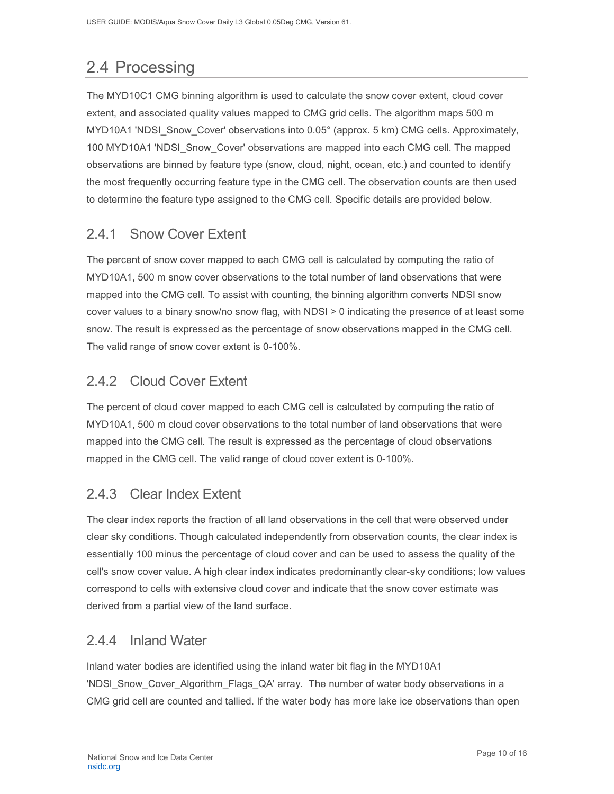# <span id="page-10-0"></span>2.4 Processing

The MYD10C1 CMG binning algorithm is used to calculate the snow cover extent, cloud cover extent, and associated quality values mapped to CMG grid cells. The algorithm maps 500 m MYD10A1 'NDSI Snow Cover' observations into 0.05° (approx. 5 km) CMG cells. Approximately, 100 MYD10A1 'NDSI\_Snow\_Cover' observations are mapped into each CMG cell. The mapped observations are binned by feature type (snow, cloud, night, ocean, etc.) and counted to identify the most frequently occurring feature type in the CMG cell. The observation counts are then used to determine the feature type assigned to the CMG cell. Specific details are provided below.

### <span id="page-10-1"></span>2.4.1 Snow Cover Extent

The percent of snow cover mapped to each CMG cell is calculated by computing the ratio of MYD10A1, 500 m snow cover observations to the total number of land observations that were mapped into the CMG cell. To assist with counting, the binning algorithm converts NDSI snow cover values to a binary snow/no snow flag, with NDSI > 0 indicating the presence of at least some snow. The result is expressed as the percentage of snow observations mapped in the CMG cell. The valid range of snow cover extent is 0-100%.

## <span id="page-10-2"></span>2.4.2 Cloud Cover Extent

The percent of cloud cover mapped to each CMG cell is calculated by computing the ratio of MYD10A1, 500 m cloud cover observations to the total number of land observations that were mapped into the CMG cell. The result is expressed as the percentage of cloud observations mapped in the CMG cell. The valid range of cloud cover extent is 0-100%.

### <span id="page-10-3"></span>2.4.3 Clear Index Extent

The clear index reports the fraction of all land observations in the cell that were observed under clear sky conditions. Though calculated independently from observation counts, the clear index is essentially 100 minus the percentage of cloud cover and can be used to assess the quality of the cell's snow cover value. A high clear index indicates predominantly clear-sky conditions; low values correspond to cells with extensive cloud cover and indicate that the snow cover estimate was derived from a partial view of the land surface.

### <span id="page-10-4"></span>2.4.4 Inland Water

Inland water bodies are identified using the inland water bit flag in the MYD10A1 'NDSI\_Snow\_Cover\_Algorithm\_Flags\_QA' array. The number of water body observations in a CMG grid cell are counted and tallied. If the water body has more lake ice observations than open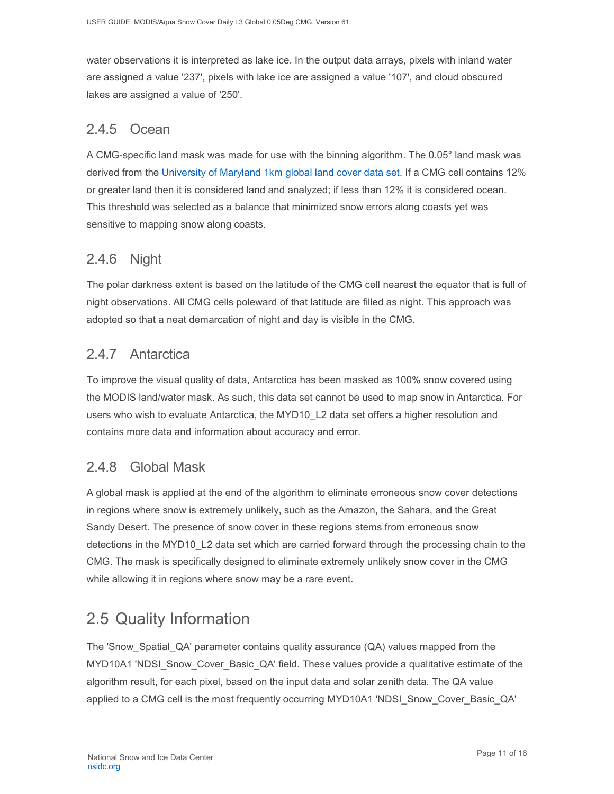water observations it is interpreted as lake ice. In the output data arrays, pixels with inland water are assigned a value '237', pixels with lake ice are assigned a value '107', and cloud obscured lakes are assigned a value of '250'.

### <span id="page-11-0"></span>2.4.5 Ocean

A CMG-specific land mask was made for use with the binning algorithm. The 0.05° land mask was derived from the [University of Maryland 1km global land cover data set.](https://doi.org/10.3334/ORNLDAAC/969) If a CMG cell contains 12% or greater land then it is considered land and analyzed; if less than 12% it is considered ocean. This threshold was selected as a balance that minimized snow errors along coasts yet was sensitive to mapping snow along coasts.

### <span id="page-11-1"></span>2.4.6 Night

The polar darkness extent is based on the latitude of the CMG cell nearest the equator that is full of night observations. All CMG cells poleward of that latitude are filled as night. This approach was adopted so that a neat demarcation of night and day is visible in the CMG.

### <span id="page-11-2"></span>2.4.7 Antarctica

To improve the visual quality of data, Antarctica has been masked as 100% snow covered using the MODIS land/water mask. As such, this data set cannot be used to map snow in Antarctica. For users who wish to evaluate Antarctica, the MYD10\_L2 data set offers a higher resolution and contains more data and information about accuracy and error.

### <span id="page-11-3"></span>2.4.8 Global Mask

A global mask is applied at the end of the algorithm to eliminate erroneous snow cover detections in regions where snow is extremely unlikely, such as the Amazon, the Sahara, and the Great Sandy Desert. The presence of snow cover in these regions stems from erroneous snow detections in the MYD10\_L2 data set which are carried forward through the processing chain to the CMG. The mask is specifically designed to eliminate extremely unlikely snow cover in the CMG while allowing it in regions where snow may be a rare event.

## <span id="page-11-4"></span>2.5 Quality Information

The 'Snow\_Spatial\_QA' parameter contains quality assurance (QA) values mapped from the MYD10A1 'NDSI\_Snow\_Cover\_Basic\_QA' field. These values provide a qualitative estimate of the algorithm result, for each pixel, based on the input data and solar zenith data. The QA value applied to a CMG cell is the most frequently occurring MYD10A1 'NDSI\_Snow\_Cover\_Basic\_QA'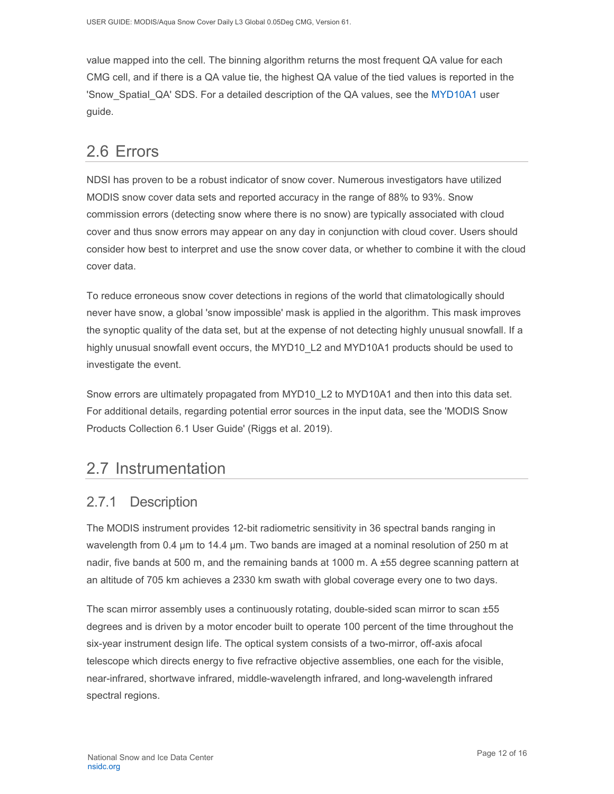value mapped into the cell. The binning algorithm returns the most frequent QA value for each CMG cell, and if there is a QA value tie, the highest QA value of the tied values is reported in the 'Snow Spatial QA' SDS. For a detailed description of the QA values, see the [MYD10A1](https://nsidc.org/data/MYD10A1) user guide.

### <span id="page-12-0"></span>2.6 Errors

NDSI has proven to be a robust indicator of snow cover. Numerous investigators have utilized MODIS snow cover data sets and reported accuracy in the range of 88% to 93%. Snow commission errors (detecting snow where there is no snow) are typically associated with cloud cover and thus snow errors may appear on any day in conjunction with cloud cover. Users should consider how best to interpret and use the snow cover data, or whether to combine it with the cloud cover data.

To reduce erroneous snow cover detections in regions of the world that climatologically should never have snow, a global 'snow impossible' mask is applied in the algorithm. This mask improves the synoptic quality of the data set, but at the expense of not detecting highly unusual snowfall. If a highly unusual snowfall event occurs, the MYD10\_L2 and MYD10A1 products should be used to investigate the event.

Snow errors are ultimately propagated from MYD10 L2 to MYD10A1 and then into this data set. For additional details, regarding potential error sources in the input data, see the 'MODIS Snow Products Collection 6.1 User Guide' (Riggs et al. 2019).

## <span id="page-12-1"></span>2.7 Instrumentation

### <span id="page-12-2"></span>2.7.1 Description

The MODIS instrument provides 12-bit radiometric sensitivity in 36 spectral bands ranging in wavelength from 0.4 µm to 14.4 µm. Two bands are imaged at a nominal resolution of 250 m at nadir, five bands at 500 m, and the remaining bands at 1000 m. A ±55 degree scanning pattern at an altitude of 705 km achieves a 2330 km swath with global coverage every one to two days.

The scan mirror assembly uses a continuously rotating, double-sided scan mirror to scan ±55 degrees and is driven by a motor encoder built to operate 100 percent of the time throughout the six-year instrument design life. The optical system consists of a two-mirror, off-axis afocal telescope which directs energy to five refractive objective assemblies, one each for the visible, near-infrared, shortwave infrared, middle-wavelength infrared, and long-wavelength infrared spectral regions.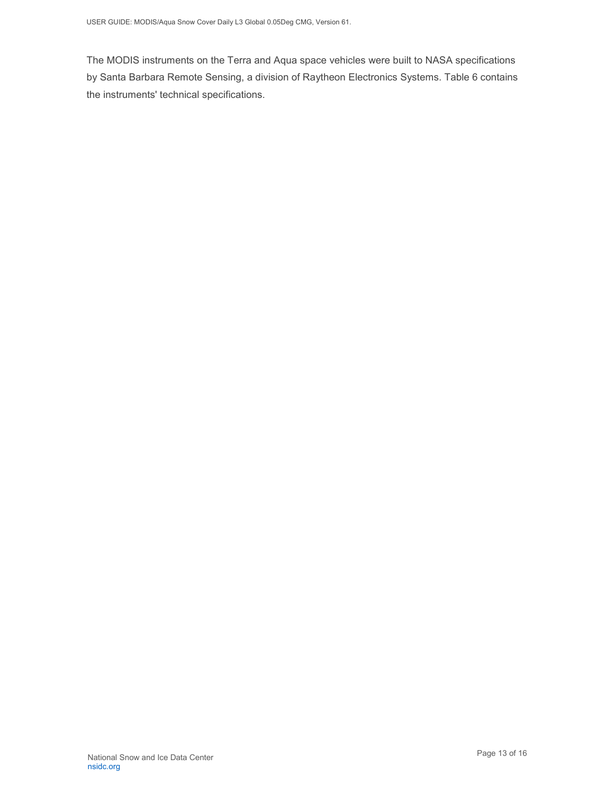The MODIS instruments on the Terra and Aqua space vehicles were built to NASA specifications by Santa Barbara Remote Sensing, a division of Raytheon Electronics Systems. Table 6 contains the instruments' technical specifications.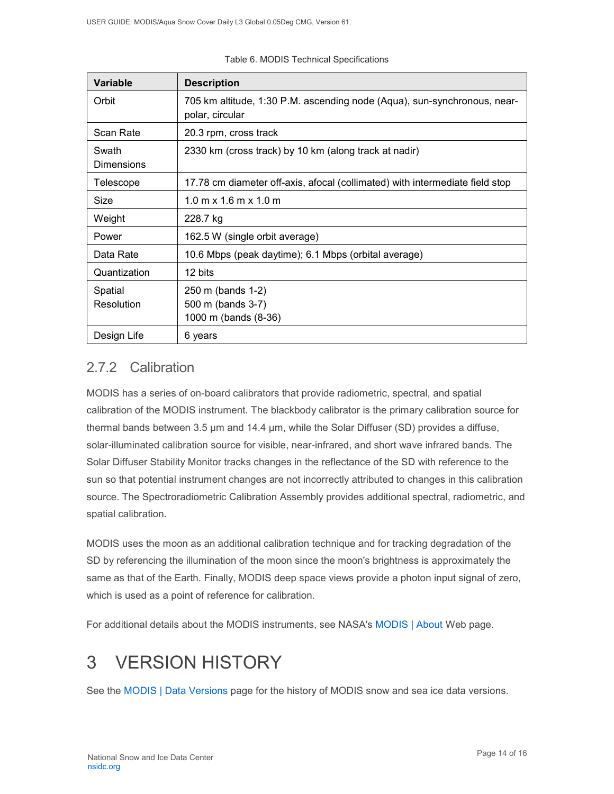| <b>Variable</b>            | <b>Description</b>                                                                          |
|----------------------------|---------------------------------------------------------------------------------------------|
| Orbit                      | 705 km altitude, 1:30 P.M. ascending node (Aqua), sun-synchronous, near-<br>polar, circular |
| Scan Rate                  | 20.3 rpm, cross track                                                                       |
| Swath<br><b>Dimensions</b> | 2330 km (cross track) by 10 km (along track at nadir)                                       |
| Telescope                  | 17.78 cm diameter off-axis, afocal (collimated) with intermediate field stop                |
| Size                       | $1.0 \text{ m} \times 1.6 \text{ m} \times 1.0 \text{ m}$                                   |
| Weight                     | 228.7 kg                                                                                    |
| Power                      | 162.5 W (single orbit average)                                                              |
| Data Rate                  | 10.6 Mbps (peak daytime); 6.1 Mbps (orbital average)                                        |
| Quantization               | 12 bits                                                                                     |
| Spatial<br>Resolution      | 250 m (bands 1-2)<br>500 m (bands 3-7)<br>1000 m (bands (8-36)                              |
| Design Life                | 6 years                                                                                     |

#### Table 6. MODIS Technical Specifications

### <span id="page-14-0"></span>2.7.2 Calibration

MODIS has a series of on-board calibrators that provide radiometric, spectral, and spatial calibration of the MODIS instrument. The blackbody calibrator is the primary calibration source for thermal bands between 3.5 µm and 14.4 µm, while the Solar Diffuser (SD) provides a diffuse, solar-illuminated calibration source for visible, near-infrared, and short wave infrared bands. The Solar Diffuser Stability Monitor tracks changes in the reflectance of the SD with reference to the sun so that potential instrument changes are not incorrectly attributed to changes in this calibration source. The Spectroradiometric Calibration Assembly provides additional spectral, radiometric, and spatial calibration.

MODIS uses the moon as an additional calibration technique and for tracking degradation of the SD by referencing the illumination of the moon since the moon's brightness is approximately the same as that of the Earth. Finally, MODIS deep space views provide a photon input signal of zero, which is used as a point of reference for calibration.

For additional details about the MODIS instruments, see NASA's [MODIS | About](http://modis.gsfc.nasa.gov/about/) Web page.

# <span id="page-14-1"></span>3 VERSION HISTORY

See the [MODIS | Data Versions](https://nsidc.org/data/modis/data_versions.html) page for the history of MODIS snow and sea ice data versions.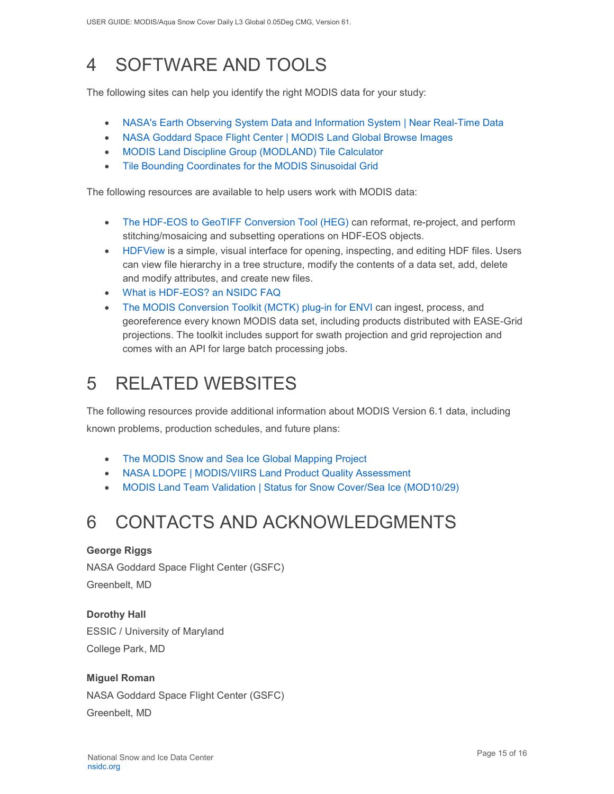# <span id="page-15-0"></span>4 SOFTWARE AND TOOLS

The following sites can help you identify the right MODIS data for your study:

- [NASA's Earth Observing System Data and Information System | Near Real-Time Data](http://earthdata.nasa.gov/data/near-real-time-data/rapid-response)
- [NASA Goddard Space Flight Center | MODIS Land Global Browse Images](https://landweb.modaps.eosdis.nasa.gov/cgi-bin/browse/browseMODIS.cgi)
- [MODIS Land Discipline Group \(MODLAND\) Tile Calculator](http://landweb.nascom.nasa.gov/cgi-bin/developer/tilemap.cgi)
- [Tile Bounding Coordinates for the MODIS Sinusoidal Grid](http://modis-land.gsfc.nasa.gov/pdf/sn_bound_10deg.txt)

The following resources are available to help users work with MODIS data:

- [The HDF-EOS to GeoTIFF Conversion Tool \(HEG\)](https://wiki.earthdata.nasa.gov/display/DAS/HEG%3A++HDF-EOS+to+GeoTIFF+Conversion+Tool) can reformat, re-project, and perform stitching/mosaicing and subsetting operations on HDF-EOS objects.
- [HDFView](https://www.hdfgroup.org/downloads/hdfview/) is a simple, visual interface for opening, inspecting, and editing HDF files. Users can view file hierarchy in a tree structure, modify the contents of a data set, add, delete and modify attributes, and create new files.
- [What is HDF-EOS? an NSIDC FAQ](https://nsidc.org/support/faq/what-hdf-eos)
- [The MODIS Conversion Toolkit \(MCTK\) plug-in for ENVI](https://github.com/dawhite/MCTK) can ingest, process, and georeference every known MODIS data set, including products distributed with EASE-Grid projections. The toolkit includes support for swath projection and grid reprojection and comes with an API for large batch processing jobs.

# <span id="page-15-1"></span>5 RELATED WEBSITES

The following resources provide additional information about MODIS Version 6.1 data, including known problems, production schedules, and future plans:

- [The MODIS Snow and Sea Ice Global Mapping Project](http://modis-snow-ice.gsfc.nasa.gov/)
- [NASA LDOPE | MODIS/VIIRS Land Product Quality Assessment](https://landweb.modaps.eosdis.nasa.gov/cgi-bin/QS/new/index.cgi)
- [MODIS Land Team Validation | Status for Snow Cover/Sea Ice \(MOD10/29\)](https://modis-land.gsfc.nasa.gov/ValStatus.php?ProductID=MOD10/29)

# <span id="page-15-2"></span>6 CONTACTS AND ACKNOWLEDGMENTS

#### **George Riggs**

NASA Goddard Space Flight Center (GSFC) Greenbelt, MD

**Dorothy Hall**  ESSIC / University of Maryland College Park, MD

#### **Miguel Roman**

NASA Goddard Space Flight Center (GSFC) Greenbelt, MD